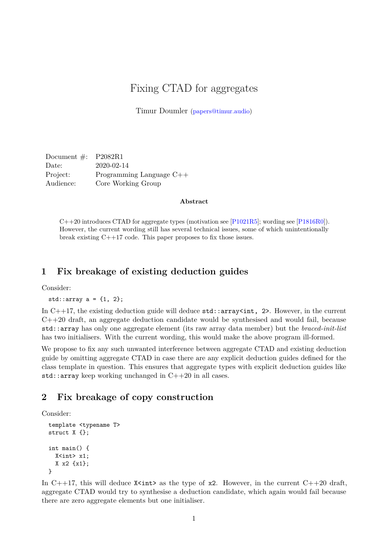# Fixing CTAD for aggregates

Timur Doumler [\(papers@timur.audio\)](mailto:papers@timur.audio)

Document  $\#$ : P2082R1 Date: 2020-02-14 Project: Programming Language C++ Audience: Core Working Group

#### **Abstract**

C++20 introduces CTAD for aggregate types (motivation see [\[P1021R5\]](#page-5-0); wording see [\[P1816R0\]](#page-5-1)). However, the current wording still has several technical issues, some of which unintentionally break existing C++17 code. This paper proposes to fix those issues.

### **1 Fix breakage of existing deduction guides**

Consider:

std::array  $a = \{1, 2\};$ 

In  $C++17$ , the existing deduction guide will deduce  $std:array\langle int, 2 \rangle$ . However, in the current C++20 draft, an aggregate deduction candidate would be synthesised and would fail, because std::array has only one aggregate element (its raw array data member) but the *braced-init-list* has two initialisers. With the current wording, this would make the above program ill-formed.

We propose to fix any such unwanted interference between aggregate CTAD and existing deduction guide by omitting aggregate CTAD in case there are any explicit deduction guides defined for the class template in question. This ensures that aggregate types with explicit deduction guides like std::array keep working unchanged in  $C++20$  in all cases.

## **2 Fix breakage of copy construction**

Consider:

```
template <typename T>
struct X {};
int main() {
 X<int> x1;
  X x2 {x1};
}
```
In C++17, this will deduce  $X\text{~int}$  as the type of x2. However, in the current C++20 draft, aggregate CTAD would try to synthesise a deduction candidate, which again would fail because there are zero aggregate elements but one initialiser.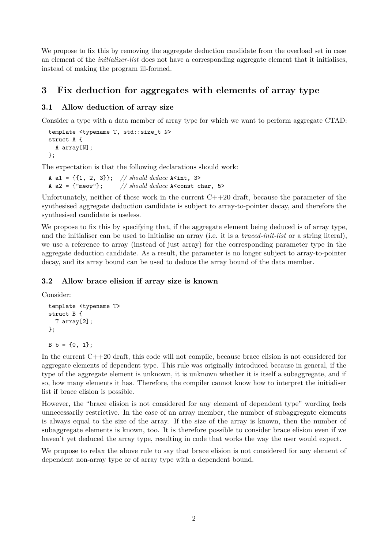We propose to fix this by removing the aggregate deduction candidate from the overload set in case an element of the *initializer-list* does not have a corresponding aggregate element that it initialises, instead of making the program ill-formed.

## **3 Fix deduction for aggregates with elements of array type**

### **3.1 Allow deduction of array size**

Consider a type with a data member of array type for which we want to perform aggregate CTAD:

```
template <typename T, std::size_t N>
struct A {
  A array[N];
};
```
The expectation is that the following declarations should work:

```
A a1 = {{1, 2, 3}}; // should deduce A<int, 3>
A a2 = \{\text{``meow''}\}; // should deduce A < const char, 5>
```
Unfortunately, neither of these work in the current  $C++20$  draft, because the parameter of the synthesised aggregate deduction candidate is subject to array-to-pointer decay, and therefore the synthesised candidate is useless.

We propose to fix this by specifying that, if the aggregate element being deduced is of array type, and the initialiser can be used to initialise an array (i.e. it is a *braced-init-list* or a string literal), we use a reference to array (instead of just array) for the corresponding parameter type in the aggregate deduction candidate. As a result, the parameter is no longer subject to array-to-pointer decay, and its array bound can be used to deduce the array bound of the data member.

### **3.2 Allow brace elision if array size is known**

Consider:

```
template <typename T>
struct B {
  T array[2];
};
```
 $B b = \{0, 1\};$ 

In the current C++20 draft, this code will not compile, because brace elision is not considered for aggregate elements of dependent type. This rule was originally introduced because in general, if the type of the aggregate element is unknown, it is unknown whether it is itself a subaggregate, and if so, how many elements it has. Therefore, the compiler cannot know how to interpret the initialiser list if brace elision is possible.

However, the "brace elision is not considered for any element of dependent type" wording feels unnecessarily restrictive. In the case of an array member, the number of subaggregate elements is always equal to the size of the array. If the size of the array is known, then the number of subaggregate elements is known, too. It is therefore possible to consider brace elision even if we haven't yet deduced the array type, resulting in code that works the way the user would expect.

We propose to relax the above rule to say that brace elision is not considered for any element of dependent non-array type or of array type with a dependent bound.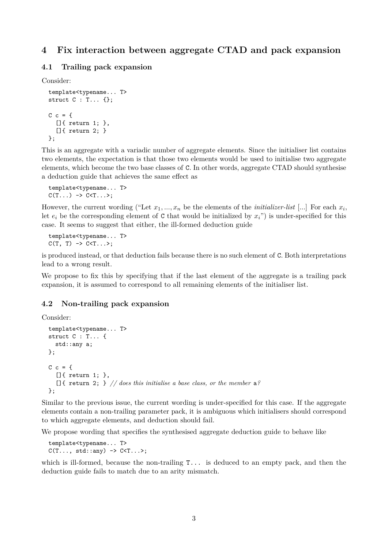## **4 Fix interaction between aggregate CTAD and pack expansion**

#### **4.1 Trailing pack expansion**

Consider:

```
template<typename... T>
struct C : T... {};
C \subset = \{[]{ return 1; },
  []{ return 2; }
};
```
This is an aggregate with a variadic number of aggregate elements. Since the initialiser list contains two elements, the expectation is that those two elements would be used to initialise two aggregate elements, which become the two base classes of C. In other words, aggregate CTAD should synthesise a deduction guide that achieves the same effect as

```
template<typename... T>
C(T...) \rightarrow C < T...
```
However, the current wording ("Let  $x_1, ..., x_n$  be the elements of the *initializer-list* [...] For each  $x_i$ , let  $e_i$  be the corresponding element of C that would be initialized by  $x_i$ ") is under-specified for this case. It seems to suggest that either, the ill-formed deduction guide

```
template<typename... T>
C(T, T) \rightarrow C < T ... >;
```
is produced instead, or that deduction fails because there is no such element of C. Both interpretations lead to a wrong result.

We propose to fix this by specifying that if the last element of the aggregate is a trailing pack expansion, it is assumed to correspond to all remaining elements of the initialiser list.

#### **4.2 Non-trailing pack expansion**

Consider:

```
template<typename... T>
struct C : T... {
  std::any a;
};
C \subset = \{[[[][][[][][[][][][][][][][][][][][][][][][][][][][][][][][][][][][][][][][]{ return 2; } // does this initialise a base class, or the member a?
};
```
Similar to the previous issue, the current wording is under-specified for this case. If the aggregate elements contain a non-trailing parameter pack, it is ambiguous which initialisers should correspond to which aggregate elements, and deduction should fail.

We propose wording that specifies the synthesised aggregate deduction guide to behave like

```
template<typename... T>
C(T..., std::any -> C<T... >;
```
which is ill-formed, because the non-trailing  $T...$  is deduced to an empty pack, and then the deduction guide fails to match due to an arity mismatch.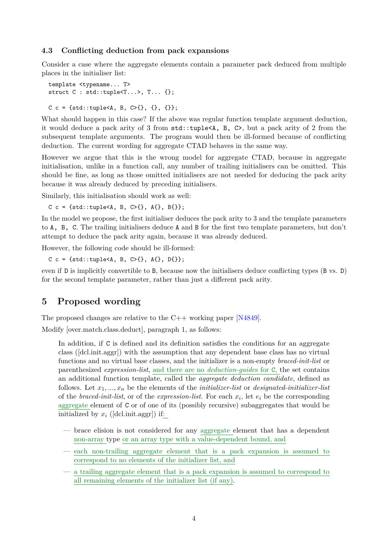#### **4.3 Conflicting deduction from pack expansions**

Consider a case where the aggregate elements contain a parameter pack deduced from multiple places in the initialiser list:

```
template <typename... T>
struct C : std::tuple<T...>, T... {};
```
C c = {std::tuple<A, B, C>{}, {}, {}};

What should happen in this case? If the above was regular function template argument deduction, it would deduce a pack arity of 3 from  $\text{std::tuple} \leq A$ , B, C, but a pack arity of 2 from the subsequent template arguments. The program would then be ill-formed because of conflicting deduction. The current wording for aggregate CTAD behaves in the same way.

However we argue that this is the wrong model for aggregate CTAD, because in aggregate initialisation, unlike in a function call, any number of trailing initialisers can be omitted. This should be fine, as long as those omitted initialisers are not needed for deducing the pack arity because it was already deduced by preceding initialisers.

Similarly, this initialisation should work as well:

 $C c = \{ std: : tuple < A, B, C > \{\}, A \{\}, B \{\} \};$ 

In the model we propose, the first initialiser deduces the pack arity to 3 and the template parameters to A, B, C. The trailing initialisers deduce A and B for the first two template parameters, but don't attempt to deduce the pack arity again, because it was already deduced.

However, the following code should be ill-formed:

 $C c = \{ std::tuple < A, B, C > \{\}, A\{\}, D\{\}\};$ 

even if D is implicitly convertible to B, because now the initialisers deduce conflicting types (B vs. D) for the second template parameter, rather than just a different pack arity.

### **5 Proposed wording**

The proposed changes are relative to the  $C_{++}$  working paper [\[N4849\]](#page-5-2).

Modify [over.match.class.deduct], paragraph 1, as follows:

In addition, if C is defined and its definition satisfies the conditions for an aggregate class ([dcl.init.aggr]) with the assumption that any dependent base class has no virtual functions and no virtual base classes, and the initializer is a non-empty *braced-init-list* or parenthesized *expression-list*, and there are no *deduction-guide*s for C, the set contains an additional function template, called the *aggregate deduction candidate*, defined as follows. Let *x*1*, ..., x<sup>n</sup>* be the elements of the *initializer-list* or *designated-initializer-list* of the *braced-init-list*, or of the *expression-list*. For each *x<sup>i</sup>* , let *e<sup>i</sup>* be the corresponding aggregate element of C or of one of its (possibly recursive) subaggregates that would be initialized by *x<sup>i</sup>* ([dcl.init.aggr]) if:

- brace elision is not considered for any aggregate element that has a dependent non-array type or an array type with a value-dependent bound, and
- each non-trailing aggregate element that is a pack expansion is assumed to correspond to no elements of the initializer list, and
- a trailing aggregate element that is a pack expansion is assumed to correspond to all remaining elements of the initializer list (if any).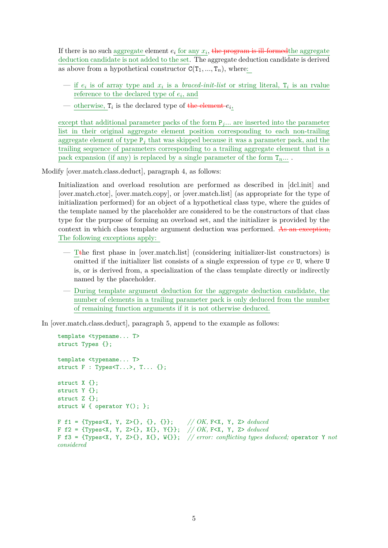If there is no such aggregate element  $e_i$  for any  $x_i$ , the program is ill-formed the aggregate deduction candidate is not added to the set. The aggregate deduction candidate is derived as above from a hypothetical constructor  $C(T_1, ..., T_n)$ , where:

- $\frac{1}{\pi}$  is of array type and  $x_i$  is a *braced-init-list* or string literal,  $T_i$  is an rvalue reference to the declared type of *e<sup>i</sup>* , and
- <u>otherwise,</u>  $\mathbf{r}_i$  is the declared type of the element  $e_i$

except that additional parameter packs of the form  $P_j$ ... are inserted into the parameter list in their original aggregate element position corresponding to each non-trailing aggregate element of type  $P_i$  that was skipped because it was a parameter pack, and the trailing sequence of parameters corresponding to a trailing aggregate element that is a pack expansion (if any) is replaced by a single parameter of the form  $T_n$ ...

Modify [over.match.class.deduct], paragraph 4, as follows:

Initialization and overload resolution are performed as described in [dcl.init] and [over.match.ctor], [over.match.copy], or [over.match.list] (as appropriate for the type of initialization performed) for an object of a hypothetical class type, where the guides of the template named by the placeholder are considered to be the constructors of that class type for the purpose of forming an overload set, and the initializer is provided by the context in which class template argument deduction was performed. As an exception, The following exceptions apply:

- Tthe first phase in [over.match.list] (considering initializer-list constructors) is omitted if the initializer list consists of a single expression of type *cv* U, where U is, or is derived from, a specialization of the class template directly or indirectly named by the placeholder.
- During template argument deduction for the aggregate deduction candidate, the number of elements in a trailing parameter pack is only deduced from the number of remaining function arguments if it is not otherwise deduced.

In [over.match.class.deduct], paragraph 5, append to the example as follows:

```
template <typename... T>
struct Types {};
template <typename... T>
struct F : Types < T... >, T... {};
struct X {};
struct Y {};
struct Z {};
struct W { operator Y(); };
F f1 = {Types<X, Y, Z>{}, {}, {}}; // OK, F<X, Y, Z> deduced
F f2 = {Types<X, Y, Z>{}, X{}, Y{}}; // OK, F<X, Y, Z> deduced
F f3 = {Types<X, Y, Z>{}, X{}, W{}}; // error: conflicting types deduced; operator Y not
considered
```